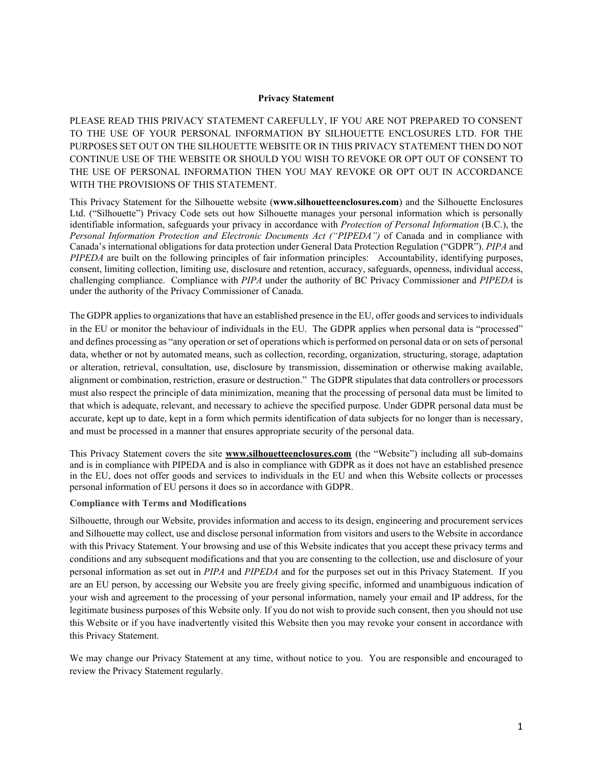#### **Privacy Statement**

PLEASE READ THIS PRIVACY STATEMENT CAREFULLY, IF YOU ARE NOT PREPARED TO CONSENT TO THE USE OF YOUR PERSONAL INFORMATION BY SILHOUETTE ENCLOSURES LTD. FOR THE PURPOSES SET OUT ON THE SILHOUETTE WEBSITE OR IN THIS PRIVACY STATEMENT THEN DO NOT CONTINUE USE OF THE WEBSITE OR SHOULD YOU WISH TO REVOKE OR OPT OUT OF CONSENT TO THE USE OF PERSONAL INFORMATION THEN YOU MAY REVOKE OR OPT OUT IN ACCORDANCE WITH THE PROVISIONS OF THIS STATEMENT.

This Privacy Statement for the Silhouette website (**www.silhouetteenclosures.com**) and the Silhouette Enclosures Ltd. ("Silhouette") Privacy Code sets out how Silhouette manages your personal information which is personally identifiable information, safeguards your privacy in accordance with *Protection of Personal Information* (B.C.), the *Personal Information Protection and Electronic Documents Act ("PIPEDA")* of Canada and in compliance with Canada's international obligations for data protection under General Data Protection Regulation ("GDPR"). *PIPA* and *PIPEDA* are built on the following principles of fair information principles: Accountability, identifying purposes, consent, limiting collection, limiting use, disclosure and retention, accuracy, safeguards, openness, individual access, challenging compliance. Compliance with *PIPA* under the authority of BC Privacy Commissioner and *PIPEDA* is under the authority of the Privacy Commissioner of Canada.

The GDPR applies to organizations that have an established presence in the EU, offer goods and services to individuals in the EU or monitor the behaviour of individuals in the EU. The GDPR applies when personal data is "processed" and defines processing as "any operation or set of operations which is performed on personal data or on sets of personal data, whether or not by automated means, such as collection, recording, organization, structuring, storage, adaptation or alteration, retrieval, consultation, use, disclosure by transmission, dissemination or otherwise making available, alignment or combination, restriction, erasure or destruction." The GDPR stipulates that data controllers or processors must also respect the principle of data minimization, meaning that the processing of personal data must be limited to that which is adequate, relevant, and necessary to achieve the specified purpose. Under GDPR personal data must be accurate, kept up to date, kept in a form which permits identification of data subjects for no longer than is necessary, and must be processed in a manner that ensures appropriate security of the personal data.

This Privacy Statement covers the site **[www.silhouetteenclosures.com](http://www.silhouetteenclosures.com/)** (the "Website") including all sub-domains and is in compliance with PIPEDA and is also in compliance with GDPR as it does not have an established presence in the EU, does not offer goods and services to individuals in the EU and when this Website collects or processes personal information of EU persons it does so in accordance with GDPR.

#### **Compliance with Terms and Modifications**

Silhouette, through our Website, provides information and access to its design, engineering and procurement services and Silhouette may collect, use and disclose personal information from visitors and users to the Website in accordance with this Privacy Statement. Your browsing and use of this Website indicates that you accept these privacy terms and conditions and any subsequent modifications and that you are consenting to the collection, use and disclosure of your personal information as set out in *PIPA* and *PIPEDA* and for the purposes set out in this Privacy Statement. If you are an EU person, by accessing our Website you are freely giving specific, informed and unambiguous indication of your wish and agreement to the processing of your personal information, namely your email and IP address, for the legitimate business purposes of this Website only. If you do not wish to provide such consent, then you should not use this Website or if you have inadvertently visited this Website then you may revoke your consent in accordance with this Privacy Statement.

We may change our Privacy Statement at any time, without notice to you. You are responsible and encouraged to review the Privacy Statement regularly.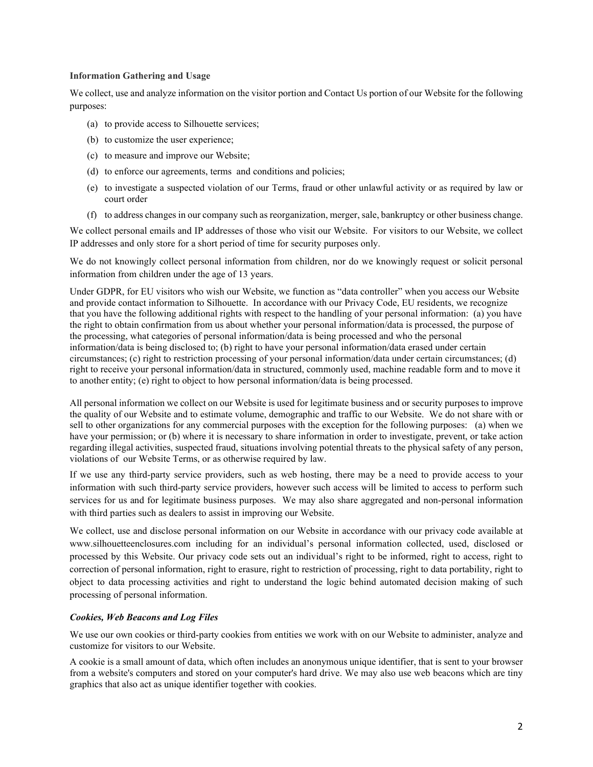### **Information Gathering and Usage**

We collect, use and analyze information on the visitor portion and Contact Us portion of our Website for the following purposes:

- (a) to provide access to Silhouette services;
- (b) to customize the user experience;
- (c) to measure and improve our Website;
- (d) to enforce our agreements, terms and conditions and policies;
- (e) to investigate a suspected violation of our Terms, fraud or other unlawful activity or as required by law or court order
- (f) to address changes in our company such as reorganization, merger, sale, bankruptcy or other business change.

We collect personal emails and IP addresses of those who visit our Website. For visitors to our Website, we collect IP addresses and only store for a short period of time for security purposes only.

We do not knowingly collect personal information from children, nor do we knowingly request or solicit personal information from children under the age of 13 years.

Under GDPR, for EU visitors who wish our Website, we function as "data controller" when you access our Website and provide contact information to Silhouette. In accordance with our Privacy Code, EU residents, we recognize that you have the following additional rights with respect to the handling of your personal information: (a) you have the right to obtain confirmation from us about whether your personal information/data is processed, the purpose of the processing, what categories of personal information/data is being processed and who the personal information/data is being disclosed to; (b) right to have your personal information/data erased under certain circumstances; (c) right to restriction processing of your personal information/data under certain circumstances; (d) right to receive your personal information/data in structured, commonly used, machine readable form and to move it to another entity; (e) right to object to how personal information/data is being processed.

All personal information we collect on our Website is used for legitimate business and or security purposes to improve the quality of our Website and to estimate volume, demographic and traffic to our Website. We do not share with or sell to other organizations for any commercial purposes with the exception for the following purposes: (a) when we have your permission; or (b) where it is necessary to share information in order to investigate, prevent, or take action regarding illegal activities, suspected fraud, situations involving potential threats to the physical safety of any person, violations of our Website Terms, or as otherwise required by law.

If we use any third-party service providers, such as web hosting, there may be a need to provide access to your information with such third-party service providers, however such access will be limited to access to perform such services for us and for legitimate business purposes. We may also share aggregated and non-personal information with third parties such as dealers to assist in improving our Website.

We collect, use and disclose personal information on our Website in accordance with our privacy code available at www.silhouetteenclosures.com including for an individual's personal information collected, used, disclosed or processed by this Website. Our privacy code sets out an individual's right to be informed, right to access, right to correction of personal information, right to erasure, right to restriction of processing, right to data portability, right to object to data processing activities and right to understand the logic behind automated decision making of such processing of personal information.

### *Cookies, Web Beacons and Log Files*

We use our own cookies or third-party cookies from entities we work with on our Website to administer, analyze and customize for visitors to our Website.

A cookie is a small amount of data, which often includes an anonymous unique identifier, that is sent to your browser from a website's computers and stored on your computer's hard drive. We may also use web beacons which are tiny graphics that also act as unique identifier together with cookies.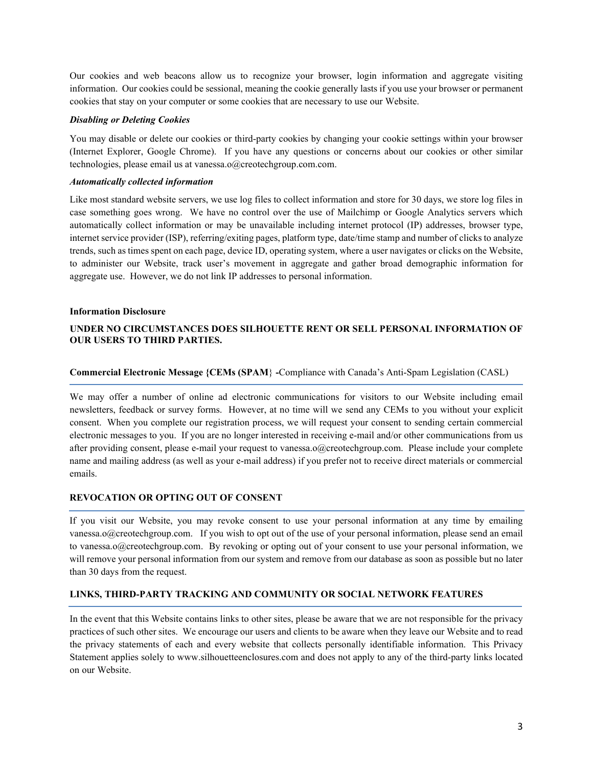Our cookies and web beacons allow us to recognize your browser, login information and aggregate visiting information. Our cookies could be sessional, meaning the cookie generally lasts if you use your browser or permanent cookies that stay on your computer or some cookies that are necessary to use our Website.

### *Disabling or Deleting Cookies*

You may disable or delete our cookies or third-party cookies by changing your cookie settings within your browser (Internet Explorer, Google Chrome). If you have any questions or concerns about our cookies or other similar technologies, please email us at vanessa.o@creotechgroup.com.com.

# *Automatically collected information*

Like most standard website servers, we use log files to collect information and store for 30 days, we store log files in case something goes wrong. We have no control over the use of Mailchimp or Google Analytics servers which automatically collect information or may be unavailable including internet protocol (IP) addresses, browser type, internet service provider (ISP), referring/exiting pages, platform type, date/time stamp and number of clicks to analyze trends, such as times spent on each page, device ID, operating system, where a user navigates or clicks on the Website, to administer our Website, track user's movement in aggregate and gather broad demographic information for aggregate use. However, we do not link IP addresses to personal information.

# **Information Disclosure**

# **UNDER NO CIRCUMSTANCES DOES SILHOUETTE RENT OR SELL PERSONAL INFORMATION OF OUR USERS TO THIRD PARTIES.**

# **Commercial Electronic Message {CEMs (SPAM**} **-**Compliance with Canada's Anti-Spam Legislation (CASL)

We may offer a number of online ad electronic communications for visitors to our Website including email newsletters, feedback or survey forms. However, at no time will we send any CEMs to you without your explicit consent. When you complete our registration process, we will request your consent to sending certain commercial electronic messages to you. If you are no longer interested in receiving e-mail and/or other communications from us after providing consent, please e-mail your request to vanessa.o@creotechgroup.com. Please include your complete name and mailing address (as well as your e-mail address) if you prefer not to receive direct materials or commercial emails.

# **REVOCATION OR OPTING OUT OF CONSENT**

If you visit our Website, you may revoke consent to use your personal information at any time by emailing vanessa.o@creotechgroup.com. If you wish to opt out of the use of your personal information, please send an email to vanessa.o@creotechgroup.com. By revoking or opting out of your consent to use your personal information, we will remove your personal information from our system and remove from our database as soon as possible but no later than 30 days from the request.

# **LINKS, THIRD-PARTY TRACKING AND COMMUNITY OR SOCIAL NETWORK FEATURES**

In the event that this Website contains links to other sites, please be aware that we are not responsible for the privacy practices of such other sites. We encourage our users and clients to be aware when they leave our Website and to read the privacy statements of each and every website that collects personally identifiable information. This Privacy Statement applies solely to www.silhouetteenclosures.com and does not apply to any of the third-party links located on our Website.